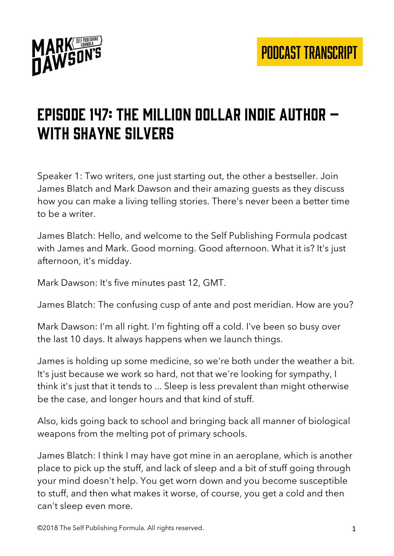

# EPISODE 147: THE MILLION DOLLAR INDIE AUTHOR  $$ with Shayne silvers

Speaker 1: Two writers, one just starting out, the other a bestseller. Join James Blatch and Mark Dawson and their amazing guests as they discuss how you can make a living telling stories. There's never been a better time to be a writer.

James Blatch: Hello, and welcome to the Self Publishing Formula podcast with James and Mark. Good morning. Good afternoon. What it is? It's just afternoon, it's midday.

Mark Dawson: It's five minutes past 12, GMT.

James Blatch: The confusing cusp of ante and post meridian. How are you?

Mark Dawson: I'm all right. I'm fighting off a cold. I've been so busy over the last 10 days. It always happens when we launch things.

James is holding up some medicine, so we're both under the weather a bit. It's just because we work so hard, not that we're looking for sympathy, I think it's just that it tends to ... Sleep is less prevalent than might otherwise be the case, and longer hours and that kind of stuff.

Also, kids going back to school and bringing back all manner of biological weapons from the melting pot of primary schools.

James Blatch: I think I may have got mine in an aeroplane, which is another place to pick up the stuff, and lack of sleep and a bit of stuff going through your mind doesn't help. You get worn down and you become susceptible to stuff, and then what makes it worse, of course, you get a cold and then can't sleep even more.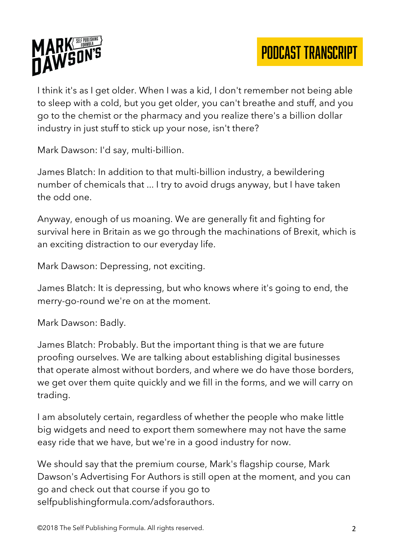

I think it's as I get older. When I was a kid, I don't remember not being able to sleep with a cold, but you get older, you can't breathe and stuff, and you go to the chemist or the pharmacy and you realize there's a billion dollar industry in just stuff to stick up your nose, isn't there?

Mark Dawson: I'd say, multi-billion.

James Blatch: In addition to that multi-billion industry, a bewildering number of chemicals that ... I try to avoid drugs anyway, but I have taken the odd one.

Anyway, enough of us moaning. We are generally fit and fighting for survival here in Britain as we go through the machinations of Brexit, which is an exciting distraction to our everyday life.

Mark Dawson: Depressing, not exciting.

James Blatch: It is depressing, but who knows where it's going to end, the merry-go-round we're on at the moment.

Mark Dawson: Badly.

James Blatch: Probably. But the important thing is that we are future proofing ourselves. We are talking about establishing digital businesses that operate almost without borders, and where we do have those borders, we get over them quite quickly and we fill in the forms, and we will carry on trading.

I am absolutely certain, regardless of whether the people who make little big widgets and need to export them somewhere may not have the same easy ride that we have, but we're in a good industry for now.

We should say that the premium course, Mark's flagship course, Mark Dawson's Advertising For Authors is still open at the moment, and you can go and check out that course if you go to selfpublishingformula.com/adsforauthors.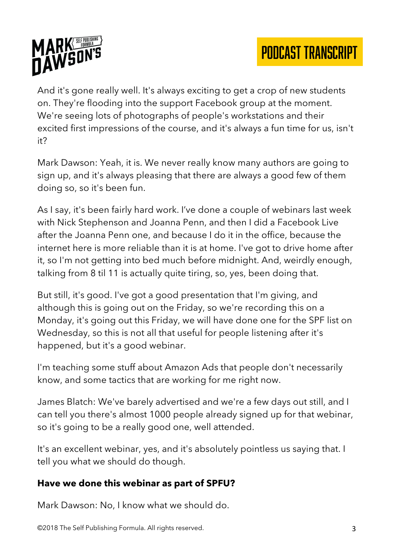



And it's gone really well. It's always exciting to get a crop of new students on. They're flooding into the support Facebook group at the moment. We're seeing lots of photographs of people's workstations and their excited first impressions of the course, and it's always a fun time for us, isn't it?

Mark Dawson: Yeah, it is. We never really know many authors are going to sign up, and it's always pleasing that there are always a good few of them doing so, so it's been fun.

As I say, it's been fairly hard work. I've done a couple of webinars last week with Nick Stephenson and Joanna Penn, and then I did a Facebook Live after the Joanna Penn one, and because I do it in the office, because the internet here is more reliable than it is at home. I've got to drive home after it, so I'm not getting into bed much before midnight. And, weirdly enough, talking from 8 til 11 is actually quite tiring, so, yes, been doing that.

But still, it's good. I've got a good presentation that I'm giving, and although this is going out on the Friday, so we're recording this on a Monday, it's going out this Friday, we will have done one for the SPF list on Wednesday, so this is not all that useful for people listening after it's happened, but it's a good webinar.

I'm teaching some stuff about Amazon Ads that people don't necessarily know, and some tactics that are working for me right now.

James Blatch: We've barely advertised and we're a few days out still, and I can tell you there's almost 1000 people already signed up for that webinar, so it's going to be a really good one, well attended.

It's an excellent webinar, yes, and it's absolutely pointless us saying that. I tell you what we should do though.

#### **Have we done this webinar as part of SPFU?**

Mark Dawson: No, I know what we should do.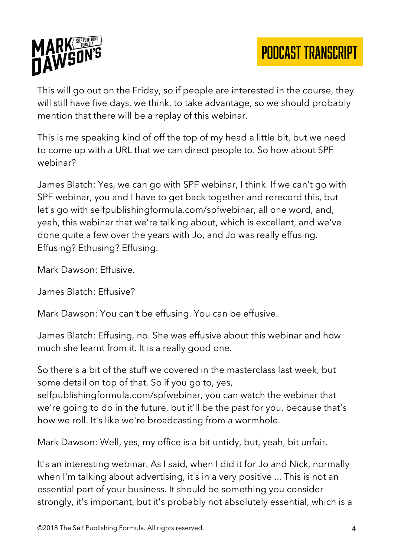

This will go out on the Friday, so if people are interested in the course, they will still have five days, we think, to take advantage, so we should probably mention that there will be a replay of this webinar.

This is me speaking kind of off the top of my head a little bit, but we need to come up with a URL that we can direct people to. So how about SPF webinar?

James Blatch: Yes, we can go with SPF webinar, I think. If we can't go with SPF webinar, you and I have to get back together and rerecord this, but let's go with selfpublishingformula.com/spfwebinar, all one word, and, yeah, this webinar that we're talking about, which is excellent, and we've done quite a few over the years with Jo, and Jo was really effusing. Effusing? Ethusing? Effusing.

Mark Dawson: Effusive.

James Blatch: Effusive?

Mark Dawson: You can't be effusing. You can be effusive.

James Blatch: Effusing, no. She was effusive about this webinar and how much she learnt from it. It is a really good one.

So there's a bit of the stuff we covered in the masterclass last week, but some detail on top of that. So if you go to, yes,

selfpublishingformula.com/spfwebinar, you can watch the webinar that we're going to do in the future, but it'll be the past for you, because that's how we roll. It's like we're broadcasting from a wormhole.

Mark Dawson: Well, yes, my office is a bit untidy, but, yeah, bit unfair.

It's an interesting webinar. As I said, when I did it for Jo and Nick, normally when I'm talking about advertising, it's in a very positive ... This is not an essential part of your business. It should be something you consider strongly, it's important, but it's probably not absolutely essential, which is a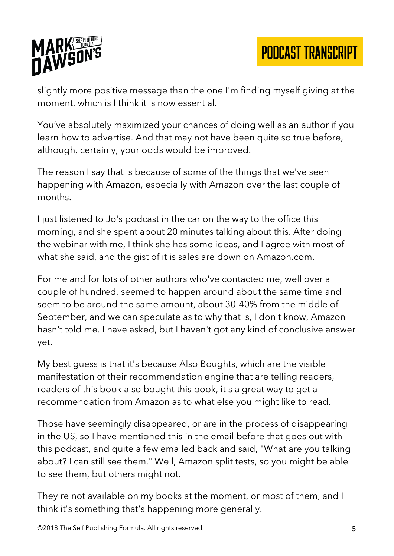

slightly more positive message than the one I'm finding myself giving at the moment, which is I think it is now essential.

You've absolutely maximized your chances of doing well as an author if you learn how to advertise. And that may not have been quite so true before, although, certainly, your odds would be improved.

The reason I say that is because of some of the things that we've seen happening with Amazon, especially with Amazon over the last couple of months.

I just listened to Jo's podcast in the car on the way to the office this morning, and she spent about 20 minutes talking about this. After doing the webinar with me, I think she has some ideas, and I agree with most of what she said, and the gist of it is sales are down on Amazon.com.

For me and for lots of other authors who've contacted me, well over a couple of hundred, seemed to happen around about the same time and seem to be around the same amount, about 30-40% from the middle of September, and we can speculate as to why that is, I don't know, Amazon hasn't told me. I have asked, but I haven't got any kind of conclusive answer yet.

My best guess is that it's because Also Boughts, which are the visible manifestation of their recommendation engine that are telling readers, readers of this book also bought this book, it's a great way to get a recommendation from Amazon as to what else you might like to read.

Those have seemingly disappeared, or are in the process of disappearing in the US, so I have mentioned this in the email before that goes out with this podcast, and quite a few emailed back and said, "What are you talking about? I can still see them." Well, Amazon split tests, so you might be able to see them, but others might not.

They're not available on my books at the moment, or most of them, and I think it's something that's happening more generally.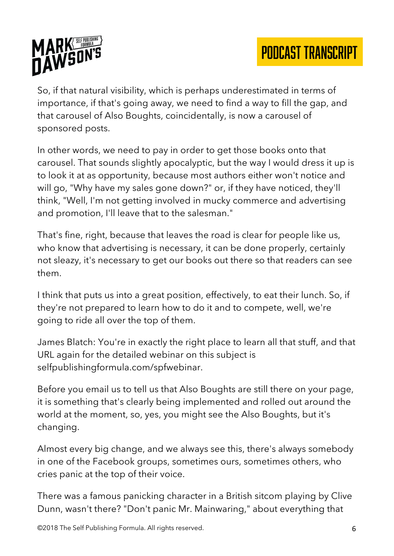

So, if that natural visibility, which is perhaps underestimated in terms of importance, if that's going away, we need to find a way to fill the gap, and that carousel of Also Boughts, coincidentally, is now a carousel of sponsored posts.

In other words, we need to pay in order to get those books onto that carousel. That sounds slightly apocalyptic, but the way I would dress it up is to look it at as opportunity, because most authors either won't notice and will go, "Why have my sales gone down?" or, if they have noticed, they'll think, "Well, I'm not getting involved in mucky commerce and advertising and promotion, I'll leave that to the salesman."

That's fine, right, because that leaves the road is clear for people like us, who know that advertising is necessary, it can be done properly, certainly not sleazy, it's necessary to get our books out there so that readers can see them.

I think that puts us into a great position, effectively, to eat their lunch. So, if they're not prepared to learn how to do it and to compete, well, we're going to ride all over the top of them.

James Blatch: You're in exactly the right place to learn all that stuff, and that URL again for the detailed webinar on this subject is selfpublishingformula.com/spfwebinar.

Before you email us to tell us that Also Boughts are still there on your page, it is something that's clearly being implemented and rolled out around the world at the moment, so, yes, you might see the Also Boughts, but it's changing.

Almost every big change, and we always see this, there's always somebody in one of the Facebook groups, sometimes ours, sometimes others, who cries panic at the top of their voice.

There was a famous panicking character in a British sitcom playing by Clive Dunn, wasn't there? "Don't panic Mr. Mainwaring," about everything that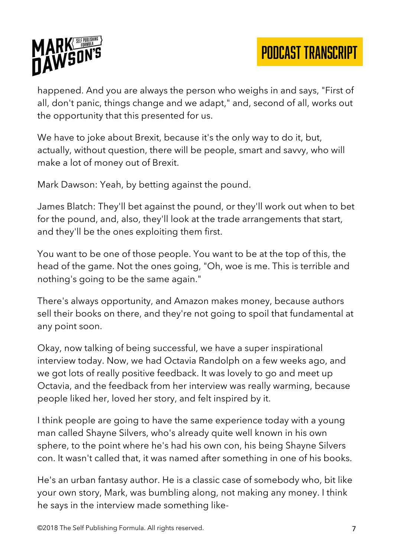

happened. And you are always the person who weighs in and says, "First of all, don't panic, things change and we adapt," and, second of all, works out the opportunity that this presented for us.

We have to joke about Brexit, because it's the only way to do it, but, actually, without question, there will be people, smart and savvy, who will make a lot of money out of Brexit.

Mark Dawson: Yeah, by betting against the pound.

James Blatch: They'll bet against the pound, or they'll work out when to bet for the pound, and, also, they'll look at the trade arrangements that start, and they'll be the ones exploiting them first.

You want to be one of those people. You want to be at the top of this, the head of the game. Not the ones going, "Oh, woe is me. This is terrible and nothing's going to be the same again."

There's always opportunity, and Amazon makes money, because authors sell their books on there, and they're not going to spoil that fundamental at any point soon.

Okay, now talking of being successful, we have a super inspirational interview today. Now, we had Octavia Randolph on a few weeks ago, and we got lots of really positive feedback. It was lovely to go and meet up Octavia, and the feedback from her interview was really warming, because people liked her, loved her story, and felt inspired by it.

I think people are going to have the same experience today with a young man called Shayne Silvers, who's already quite well known in his own sphere, to the point where he's had his own con, his being Shayne Silvers con. It wasn't called that, it was named after something in one of his books.

He's an urban fantasy author. He is a classic case of somebody who, bit like your own story, Mark, was bumbling along, not making any money. I think he says in the interview made something like-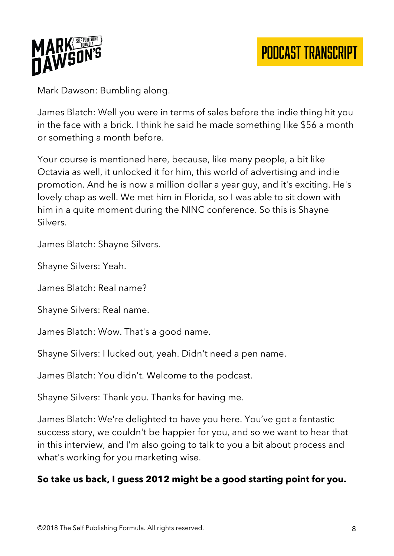

Mark Dawson: Bumbling along.

James Blatch: Well you were in terms of sales before the indie thing hit you in the face with a brick. I think he said he made something like \$56 a month or something a month before.

Your course is mentioned here, because, like many people, a bit like Octavia as well, it unlocked it for him, this world of advertising and indie promotion. And he is now a million dollar a year guy, and it's exciting. He's lovely chap as well. We met him in Florida, so I was able to sit down with him in a quite moment during the NINC conference. So this is Shayne Silvers.

James Blatch: Shayne Silvers.

Shayne Silvers: Yeah.

James Blatch: Real name?

Shayne Silvers: Real name.

James Blatch: Wow. That's a good name.

Shayne Silvers: I lucked out, yeah. Didn't need a pen name.

James Blatch: You didn't. Welcome to the podcast.

Shayne Silvers: Thank you. Thanks for having me.

James Blatch: We're delighted to have you here. You've got a fantastic success story, we couldn't be happier for you, and so we want to hear that in this interview, and I'm also going to talk to you a bit about process and what's working for you marketing wise.

#### **So take us back, I guess 2012 might be a good starting point for you.**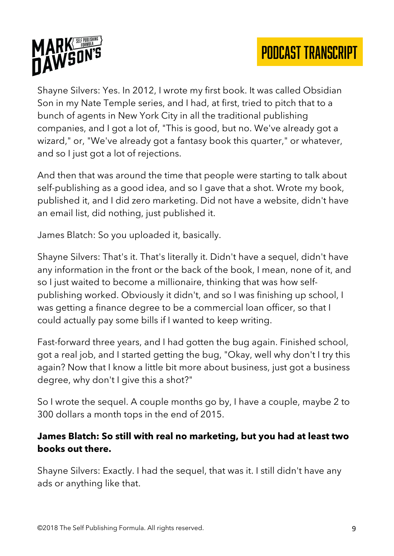



Shayne Silvers: Yes. In 2012, I wrote my first book. It was called Obsidian Son in my Nate Temple series, and I had, at first, tried to pitch that to a bunch of agents in New York City in all the traditional publishing companies, and I got a lot of, "This is good, but no. We've already got a wizard," or, "We've already got a fantasy book this quarter," or whatever, and so I just got a lot of rejections.

And then that was around the time that people were starting to talk about self-publishing as a good idea, and so I gave that a shot. Wrote my book, published it, and I did zero marketing. Did not have a website, didn't have an email list, did nothing, just published it.

James Blatch: So you uploaded it, basically.

Shayne Silvers: That's it. That's literally it. Didn't have a sequel, didn't have any information in the front or the back of the book, I mean, none of it, and so I just waited to become a millionaire, thinking that was how selfpublishing worked. Obviously it didn't, and so I was finishing up school, I was getting a finance degree to be a commercial loan officer, so that I could actually pay some bills if I wanted to keep writing.

Fast-forward three years, and I had gotten the bug again. Finished school, got a real job, and I started getting the bug, "Okay, well why don't I try this again? Now that I know a little bit more about business, just got a business degree, why don't I give this a shot?"

So I wrote the sequel. A couple months go by, I have a couple, maybe 2 to 300 dollars a month tops in the end of 2015.

#### **James Blatch: So still with real no marketing, but you had at least two books out there.**

Shayne Silvers: Exactly. I had the sequel, that was it. I still didn't have any ads or anything like that.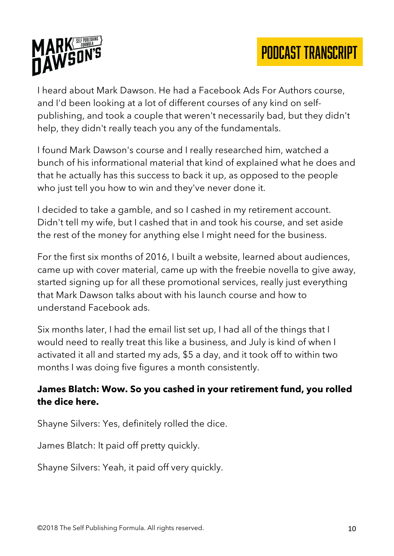

I heard about Mark Dawson. He had a Facebook Ads For Authors course, and I'd been looking at a lot of different courses of any kind on selfpublishing, and took a couple that weren't necessarily bad, but they didn't help, they didn't really teach you any of the fundamentals.

I found Mark Dawson's course and I really researched him, watched a bunch of his informational material that kind of explained what he does and that he actually has this success to back it up, as opposed to the people who just tell you how to win and they've never done it.

I decided to take a gamble, and so I cashed in my retirement account. Didn't tell my wife, but I cashed that in and took his course, and set aside the rest of the money for anything else I might need for the business.

For the first six months of 2016, I built a website, learned about audiences, came up with cover material, came up with the freebie novella to give away, started signing up for all these promotional services, really just everything that Mark Dawson talks about with his launch course and how to understand Facebook ads.

Six months later, I had the email list set up, I had all of the things that I would need to really treat this like a business, and July is kind of when I activated it all and started my ads, \$5 a day, and it took off to within two months I was doing five figures a month consistently.

## **James Blatch: Wow. So you cashed in your retirement fund, you rolled the dice here.**

Shayne Silvers: Yes, definitely rolled the dice.

James Blatch: It paid off pretty quickly.

Shayne Silvers: Yeah, it paid off very quickly.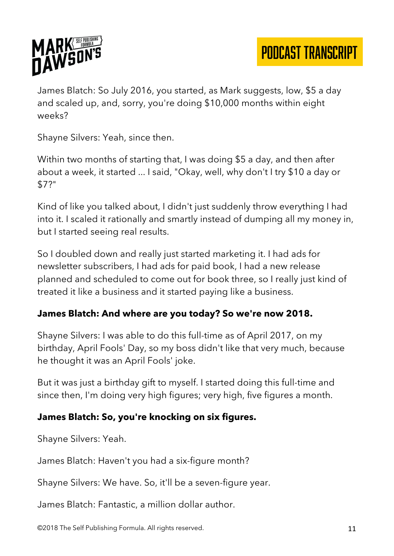

James Blatch: So July 2016, you started, as Mark suggests, low, \$5 a day and scaled up, and, sorry, you're doing \$10,000 months within eight weeks?

Shayne Silvers: Yeah, since then.

Within two months of starting that, I was doing \$5 a day, and then after about a week, it started ... I said, "Okay, well, why don't I try \$10 a day or \$7?"

Kind of like you talked about, I didn't just suddenly throw everything I had into it. I scaled it rationally and smartly instead of dumping all my money in, but I started seeing real results.

So I doubled down and really just started marketing it. I had ads for newsletter subscribers, I had ads for paid book, I had a new release planned and scheduled to come out for book three, so I really just kind of treated it like a business and it started paying like a business.

## **James Blatch: And where are you today? So we're now 2018.**

Shayne Silvers: I was able to do this full-time as of April 2017, on my birthday, April Fools' Day, so my boss didn't like that very much, because he thought it was an April Fools' joke.

But it was just a birthday gift to myself. I started doing this full-time and since then, I'm doing very high figures; very high, five figures a month.

## **James Blatch: So, you're knocking on six figures.**

Shayne Silvers: Yeah.

James Blatch: Haven't you had a six-figure month?

Shayne Silvers: We have. So, it'll be a seven-figure year.

James Blatch: Fantastic, a million dollar author.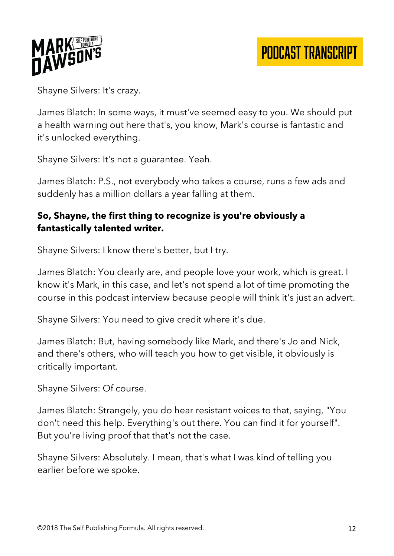

Shayne Silvers: It's crazy.

James Blatch: In some ways, it must've seemed easy to you. We should put a health warning out here that's, you know, Mark's course is fantastic and it's unlocked everything.

Shayne Silvers: It's not a guarantee. Yeah.

James Blatch: P.S., not everybody who takes a course, runs a few ads and suddenly has a million dollars a year falling at them.

## **So, Shayne, the first thing to recognize is you're obviously a fantastically talented writer.**

Shayne Silvers: I know there's better, but I try.

James Blatch: You clearly are, and people love your work, which is great. I know it's Mark, in this case, and let's not spend a lot of time promoting the course in this podcast interview because people will think it's just an advert.

Shayne Silvers: You need to give credit where it's due.

James Blatch: But, having somebody like Mark, and there's Jo and Nick, and there's others, who will teach you how to get visible, it obviously is critically important.

Shayne Silvers: Of course.

James Blatch: Strangely, you do hear resistant voices to that, saying, "You don't need this help. Everything's out there. You can find it for yourself". But you're living proof that that's not the case.

Shayne Silvers: Absolutely. I mean, that's what I was kind of telling you earlier before we spoke.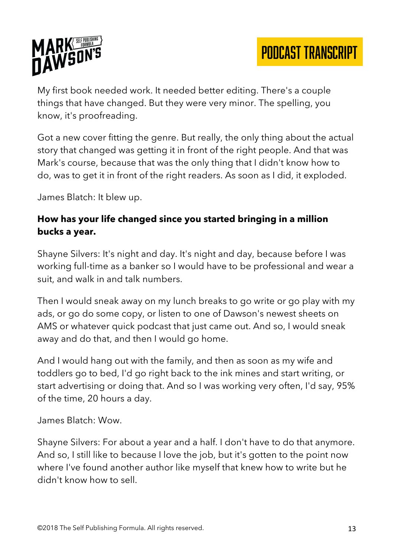

My first book needed work. It needed better editing. There's a couple things that have changed. But they were very minor. The spelling, you know, it's proofreading.

Got a new cover fitting the genre. But really, the only thing about the actual story that changed was getting it in front of the right people. And that was Mark's course, because that was the only thing that I didn't know how to do, was to get it in front of the right readers. As soon as I did, it exploded.

James Blatch: It blew up.

## **How has your life changed since you started bringing in a million bucks a year.**

Shayne Silvers: It's night and day. It's night and day, because before I was working full-time as a banker so I would have to be professional and wear a suit, and walk in and talk numbers.

Then I would sneak away on my lunch breaks to go write or go play with my ads, or go do some copy, or listen to one of Dawson's newest sheets on AMS or whatever quick podcast that just came out. And so, I would sneak away and do that, and then I would go home.

And I would hang out with the family, and then as soon as my wife and toddlers go to bed, I'd go right back to the ink mines and start writing, or start advertising or doing that. And so I was working very often, I'd say, 95% of the time, 20 hours a day.

James Blatch: Wow.

Shayne Silvers: For about a year and a half. I don't have to do that anymore. And so, I still like to because I love the job, but it's gotten to the point now where I've found another author like myself that knew how to write but he didn't know how to sell.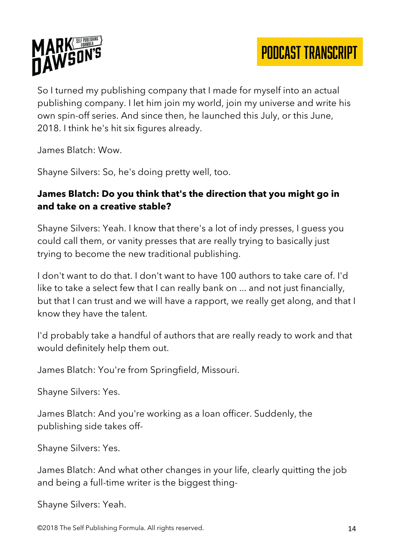



So I turned my publishing company that I made for myself into an actual publishing company. I let him join my world, join my universe and write his own spin-off series. And since then, he launched this July, or this June, 2018. I think he's hit six figures already.

James Blatch: Wow.

Shayne Silvers: So, he's doing pretty well, too.

## **James Blatch: Do you think that's the direction that you might go in and take on a creative stable?**

Shayne Silvers: Yeah. I know that there's a lot of indy presses, I guess you could call them, or vanity presses that are really trying to basically just trying to become the new traditional publishing.

I don't want to do that. I don't want to have 100 authors to take care of. I'd like to take a select few that I can really bank on ... and not just financially, but that I can trust and we will have a rapport, we really get along, and that I know they have the talent.

I'd probably take a handful of authors that are really ready to work and that would definitely help them out.

James Blatch: You're from Springfield, Missouri.

Shayne Silvers: Yes.

James Blatch: And you're working as a loan officer. Suddenly, the publishing side takes off-

Shayne Silvers: Yes.

James Blatch: And what other changes in your life, clearly quitting the job and being a full-time writer is the biggest thing-

Shayne Silvers: Yeah.

©2018 The Self Publishing Formula. All rights reserved. 14 and 14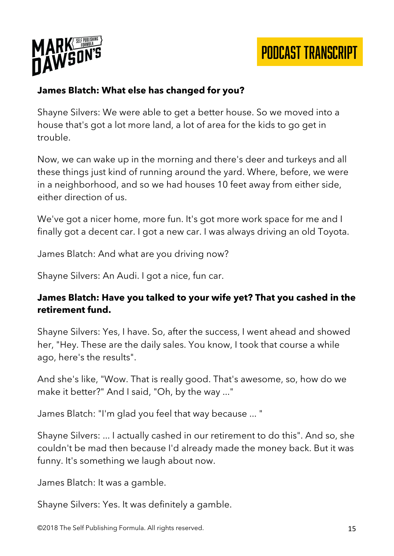

## **James Blatch: What else has changed for you?**

Shayne Silvers: We were able to get a better house. So we moved into a house that's got a lot more land, a lot of area for the kids to go get in trouble.

Now, we can wake up in the morning and there's deer and turkeys and all these things just kind of running around the yard. Where, before, we were in a neighborhood, and so we had houses 10 feet away from either side, either direction of us.

We've got a nicer home, more fun. It's got more work space for me and I finally got a decent car. I got a new car. I was always driving an old Toyota.

James Blatch: And what are you driving now?

Shayne Silvers: An Audi. I got a nice, fun car.

#### **James Blatch: Have you talked to your wife yet? That you cashed in the retirement fund.**

Shayne Silvers: Yes, I have. So, after the success, I went ahead and showed her, "Hey. These are the daily sales. You know, I took that course a while ago, here's the results".

And she's like, "Wow. That is really good. That's awesome, so, how do we make it better?" And I said, "Oh, by the way ..."

James Blatch: "I'm glad you feel that way because ... "

Shayne Silvers: ... I actually cashed in our retirement to do this". And so, she couldn't be mad then because I'd already made the money back. But it was funny. It's something we laugh about now.

James Blatch: It was a gamble.

Shayne Silvers: Yes. It was definitely a gamble.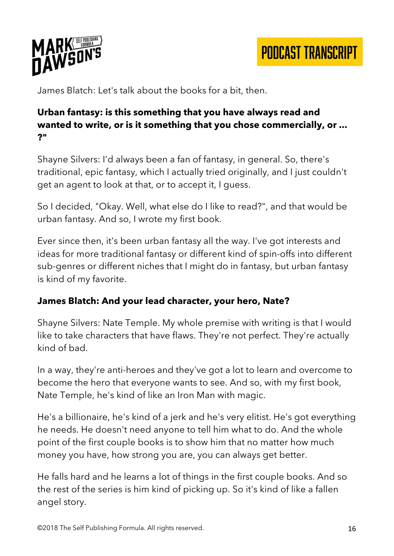

James Blatch: Let's talk about the books for a bit, then.

## **Urban fantasy: is this something that you have always read and wanted to write, or is it something that you chose commercially, or ... ?"**

Shayne Silvers: I'd always been a fan of fantasy, in general. So, there's traditional, epic fantasy, which I actually tried originally, and I just couldn't get an agent to look at that, or to accept it, I guess.

So I decided, "Okay. Well, what else do I like to read?", and that would be urban fantasy. And so, I wrote my first book.

Ever since then, it's been urban fantasy all the way. I've got interests and ideas for more traditional fantasy or different kind of spin-offs into different sub-genres or different niches that I might do in fantasy, but urban fantasy is kind of my favorite.

## **James Blatch: And your lead character, your hero, Nate?**

Shayne Silvers: Nate Temple. My whole premise with writing is that I would like to take characters that have flaws. They're not perfect. They're actually kind of bad.

In a way, they're anti-heroes and they've got a lot to learn and overcome to become the hero that everyone wants to see. And so, with my first book, Nate Temple, he's kind of like an Iron Man with magic.

He's a billionaire, he's kind of a jerk and he's very elitist. He's got everything he needs. He doesn't need anyone to tell him what to do. And the whole point of the first couple books is to show him that no matter how much money you have, how strong you are, you can always get better.

He falls hard and he learns a lot of things in the first couple books. And so the rest of the series is him kind of picking up. So it's kind of like a fallen angel story.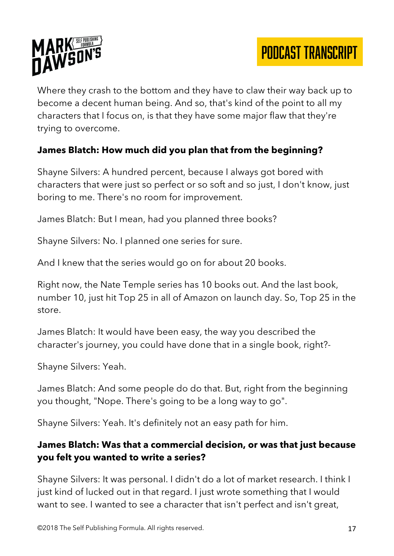

Where they crash to the bottom and they have to claw their way back up to become a decent human being. And so, that's kind of the point to all my characters that I focus on, is that they have some major flaw that they're trying to overcome.

## **James Blatch: How much did you plan that from the beginning?**

Shayne Silvers: A hundred percent, because I always got bored with characters that were just so perfect or so soft and so just, I don't know, just boring to me. There's no room for improvement.

James Blatch: But I mean, had you planned three books?

Shayne Silvers: No. I planned one series for sure.

And I knew that the series would go on for about 20 books.

Right now, the Nate Temple series has 10 books out. And the last book, number 10, just hit Top 25 in all of Amazon on launch day. So, Top 25 in the store.

James Blatch: It would have been easy, the way you described the character's journey, you could have done that in a single book, right?-

Shayne Silvers: Yeah.

James Blatch: And some people do do that. But, right from the beginning you thought, "Nope. There's going to be a long way to go".

Shayne Silvers: Yeah. It's definitely not an easy path for him.

#### **James Blatch: Was that a commercial decision, or was that just because you felt you wanted to write a series?**

Shayne Silvers: It was personal. I didn't do a lot of market research. I think I just kind of lucked out in that regard. I just wrote something that I would want to see. I wanted to see a character that isn't perfect and isn't great,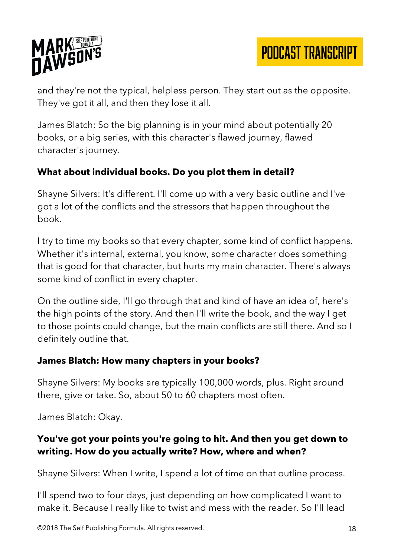

and they're not the typical, helpless person. They start out as the opposite. They've got it all, and then they lose it all.

James Blatch: So the big planning is in your mind about potentially 20 books, or a big series, with this character's flawed journey, flawed character's journey.

## **What about individual books. Do you plot them in detail?**

Shayne Silvers: It's different. I'll come up with a very basic outline and I've got a lot of the conflicts and the stressors that happen throughout the book.

I try to time my books so that every chapter, some kind of conflict happens. Whether it's internal, external, you know, some character does something that is good for that character, but hurts my main character. There's always some kind of conflict in every chapter.

On the outline side, I'll go through that and kind of have an idea of, here's the high points of the story. And then I'll write the book, and the way I get to those points could change, but the main conflicts are still there. And so I definitely outline that.

#### **James Blatch: How many chapters in your books?**

Shayne Silvers: My books are typically 100,000 words, plus. Right around there, give or take. So, about 50 to 60 chapters most often.

James Blatch: Okay.

#### **You've got your points you're going to hit. And then you get down to writing. How do you actually write? How, where and when?**

Shayne Silvers: When I write, I spend a lot of time on that outline process.

I'll spend two to four days, just depending on how complicated I want to make it. Because I really like to twist and mess with the reader. So I'll lead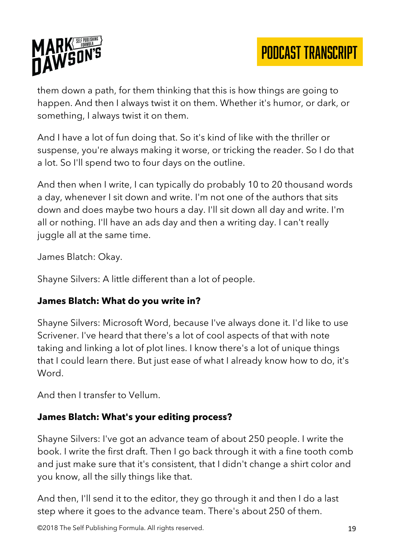



them down a path, for them thinking that this is how things are going to happen. And then I always twist it on them. Whether it's humor, or dark, or something, I always twist it on them.

And I have a lot of fun doing that. So it's kind of like with the thriller or suspense, you're always making it worse, or tricking the reader. So I do that a lot. So I'll spend two to four days on the outline.

And then when I write, I can typically do probably 10 to 20 thousand words a day, whenever I sit down and write. I'm not one of the authors that sits down and does maybe two hours a day. I'll sit down all day and write. I'm all or nothing. I'll have an ads day and then a writing day. I can't really juggle all at the same time.

James Blatch: Okay.

Shayne Silvers: A little different than a lot of people.

#### **James Blatch: What do you write in?**

Shayne Silvers: Microsoft Word, because I've always done it. I'd like to use Scrivener. I've heard that there's a lot of cool aspects of that with note taking and linking a lot of plot lines. I know there's a lot of unique things that I could learn there. But just ease of what I already know how to do, it's Word.

And then I transfer to Vellum.

## **James Blatch: What's your editing process?**

Shayne Silvers: I've got an advance team of about 250 people. I write the book. I write the first draft. Then I go back through it with a fine tooth comb and just make sure that it's consistent, that I didn't change a shirt color and you know, all the silly things like that.

And then, I'll send it to the editor, they go through it and then I do a last step where it goes to the advance team. There's about 250 of them.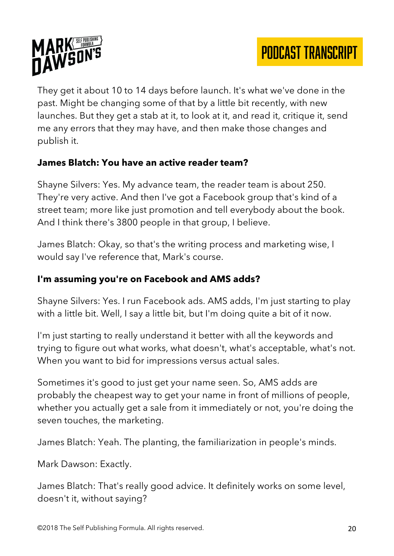



They get it about 10 to 14 days before launch. It's what we've done in the past. Might be changing some of that by a little bit recently, with new launches. But they get a stab at it, to look at it, and read it, critique it, send me any errors that they may have, and then make those changes and publish it.

#### **James Blatch: You have an active reader team?**

Shayne Silvers: Yes. My advance team, the reader team is about 250. They're very active. And then I've got a Facebook group that's kind of a street team; more like just promotion and tell everybody about the book. And I think there's 3800 people in that group, I believe.

James Blatch: Okay, so that's the writing process and marketing wise, I would say I've reference that, Mark's course.

#### **I'm assuming you're on Facebook and AMS adds?**

Shayne Silvers: Yes. I run Facebook ads. AMS adds, I'm just starting to play with a little bit. Well, I say a little bit, but I'm doing quite a bit of it now.

I'm just starting to really understand it better with all the keywords and trying to figure out what works, what doesn't, what's acceptable, what's not. When you want to bid for impressions versus actual sales.

Sometimes it's good to just get your name seen. So, AMS adds are probably the cheapest way to get your name in front of millions of people, whether you actually get a sale from it immediately or not, you're doing the seven touches, the marketing.

James Blatch: Yeah. The planting, the familiarization in people's minds.

Mark Dawson: Exactly.

James Blatch: That's really good advice. It definitely works on some level, doesn't it, without saying?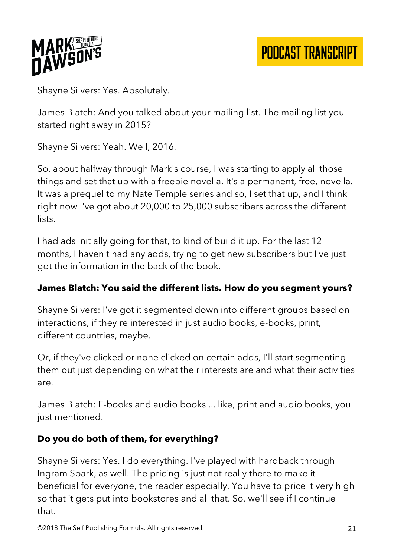

Shayne Silvers: Yes. Absolutely.

James Blatch: And you talked about your mailing list. The mailing list you started right away in 2015?

Shayne Silvers: Yeah. Well, 2016.

So, about halfway through Mark's course, I was starting to apply all those things and set that up with a freebie novella. It's a permanent, free, novella. It was a prequel to my Nate Temple series and so, I set that up, and I think right now I've got about 20,000 to 25,000 subscribers across the different lists.

I had ads initially going for that, to kind of build it up. For the last 12 months, I haven't had any adds, trying to get new subscribers but I've just got the information in the back of the book.

## **James Blatch: You said the different lists. How do you segment yours?**

Shayne Silvers: I've got it segmented down into different groups based on interactions, if they're interested in just audio books, e-books, print, different countries, maybe.

Or, if they've clicked or none clicked on certain adds, I'll start segmenting them out just depending on what their interests are and what their activities are.

James Blatch: E-books and audio books ... like, print and audio books, you just mentioned.

# **Do you do both of them, for everything?**

Shayne Silvers: Yes. I do everything. I've played with hardback through Ingram Spark, as well. The pricing is just not really there to make it beneficial for everyone, the reader especially. You have to price it very high so that it gets put into bookstores and all that. So, we'll see if I continue that.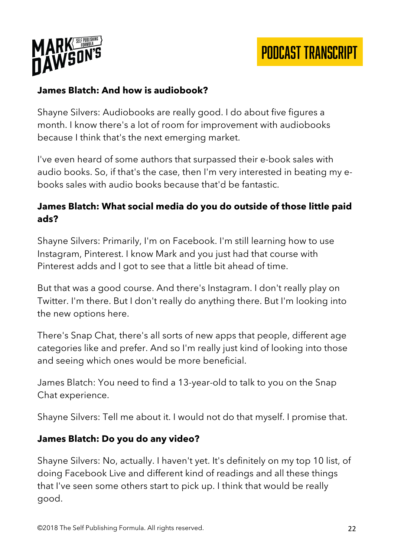

## **James Blatch: And how is audiobook?**

Shayne Silvers: Audiobooks are really good. I do about five figures a month. I know there's a lot of room for improvement with audiobooks because I think that's the next emerging market.

I've even heard of some authors that surpassed their e-book sales with audio books. So, if that's the case, then I'm very interested in beating my ebooks sales with audio books because that'd be fantastic.

## **James Blatch: What social media do you do outside of those little paid ads?**

Shayne Silvers: Primarily, I'm on Facebook. I'm still learning how to use Instagram, Pinterest. I know Mark and you just had that course with Pinterest adds and I got to see that a little bit ahead of time.

But that was a good course. And there's Instagram. I don't really play on Twitter. I'm there. But I don't really do anything there. But I'm looking into the new options here.

There's Snap Chat, there's all sorts of new apps that people, different age categories like and prefer. And so I'm really just kind of looking into those and seeing which ones would be more beneficial.

James Blatch: You need to find a 13-year-old to talk to you on the Snap Chat experience.

Shayne Silvers: Tell me about it. I would not do that myself. I promise that.

#### **James Blatch: Do you do any video?**

Shayne Silvers: No, actually. I haven't yet. It's definitely on my top 10 list, of doing Facebook Live and different kind of readings and all these things that I've seen some others start to pick up. I think that would be really good.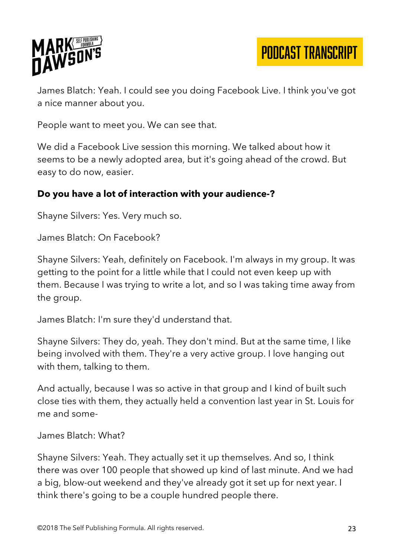

James Blatch: Yeah. I could see you doing Facebook Live. I think you've got a nice manner about you.

People want to meet you. We can see that.

We did a Facebook Live session this morning. We talked about how it seems to be a newly adopted area, but it's going ahead of the crowd. But easy to do now, easier.

#### **Do you have a lot of interaction with your audience-?**

Shayne Silvers: Yes. Very much so.

James Blatch: On Facebook?

Shayne Silvers: Yeah, definitely on Facebook. I'm always in my group. It was getting to the point for a little while that I could not even keep up with them. Because I was trying to write a lot, and so I was taking time away from the group.

James Blatch: I'm sure they'd understand that.

Shayne Silvers: They do, yeah. They don't mind. But at the same time, I like being involved with them. They're a very active group. I love hanging out with them, talking to them.

And actually, because I was so active in that group and I kind of built such close ties with them, they actually held a convention last year in St. Louis for me and some-

James Blatch: What?

Shayne Silvers: Yeah. They actually set it up themselves. And so, I think there was over 100 people that showed up kind of last minute. And we had a big, blow-out weekend and they've already got it set up for next year. I think there's going to be a couple hundred people there.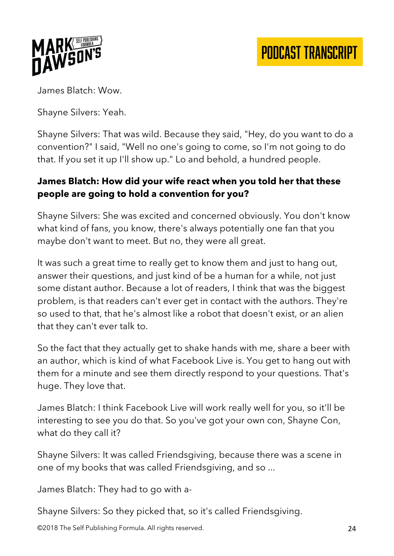

James Blatch: Wow.

Shayne Silvers: Yeah.

Shayne Silvers: That was wild. Because they said, "Hey, do you want to do a convention?" I said, "Well no one's going to come, so I'm not going to do that. If you set it up I'll show up." Lo and behold, a hundred people.

## **James Blatch: How did your wife react when you told her that these people are going to hold a convention for you?**

Shayne Silvers: She was excited and concerned obviously. You don't know what kind of fans, you know, there's always potentially one fan that you maybe don't want to meet. But no, they were all great.

It was such a great time to really get to know them and just to hang out, answer their questions, and just kind of be a human for a while, not just some distant author. Because a lot of readers, I think that was the biggest problem, is that readers can't ever get in contact with the authors. They're so used to that, that he's almost like a robot that doesn't exist, or an alien that they can't ever talk to.

So the fact that they actually get to shake hands with me, share a beer with an author, which is kind of what Facebook Live is. You get to hang out with them for a minute and see them directly respond to your questions. That's huge. They love that.

James Blatch: I think Facebook Live will work really well for you, so it'll be interesting to see you do that. So you've got your own con, Shayne Con, what do they call it?

Shayne Silvers: It was called Friendsgiving, because there was a scene in one of my books that was called Friendsgiving, and so ...

James Blatch: They had to go with a-

Shayne Silvers: So they picked that, so it's called Friendsgiving.

©2018 The Self Publishing Formula. All rights reserved. 24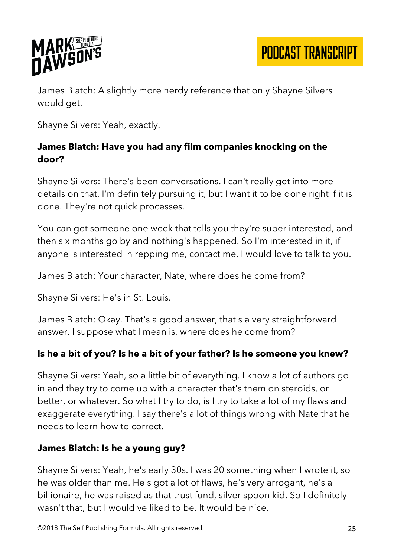

James Blatch: A slightly more nerdy reference that only Shayne Silvers would get.

Shayne Silvers: Yeah, exactly.

#### **James Blatch: Have you had any film companies knocking on the door?**

Shayne Silvers: There's been conversations. I can't really get into more details on that. I'm definitely pursuing it, but I want it to be done right if it is done. They're not quick processes.

You can get someone one week that tells you they're super interested, and then six months go by and nothing's happened. So I'm interested in it, if anyone is interested in repping me, contact me, I would love to talk to you.

James Blatch: Your character, Nate, where does he come from?

Shayne Silvers: He's in St. Louis.

James Blatch: Okay. That's a good answer, that's a very straightforward answer. I suppose what I mean is, where does he come from?

#### **Is he a bit of you? Is he a bit of your father? Is he someone you knew?**

Shayne Silvers: Yeah, so a little bit of everything. I know a lot of authors go in and they try to come up with a character that's them on steroids, or better, or whatever. So what I try to do, is I try to take a lot of my flaws and exaggerate everything. I say there's a lot of things wrong with Nate that he needs to learn how to correct.

#### **James Blatch: Is he a young guy?**

Shayne Silvers: Yeah, he's early 30s. I was 20 something when I wrote it, so he was older than me. He's got a lot of flaws, he's very arrogant, he's a billionaire, he was raised as that trust fund, silver spoon kid. So I definitely wasn't that, but I would've liked to be. It would be nice.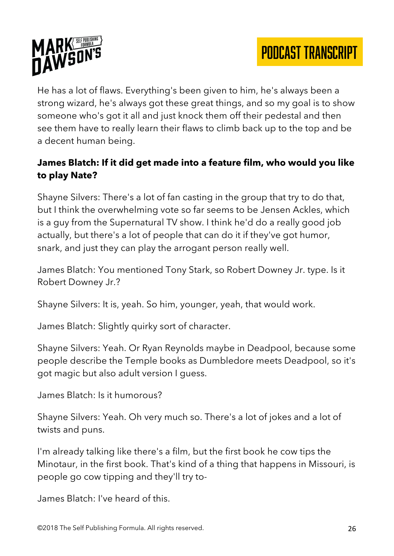

He has a lot of flaws. Everything's been given to him, he's always been a strong wizard, he's always got these great things, and so my goal is to show someone who's got it all and just knock them off their pedestal and then see them have to really learn their flaws to climb back up to the top and be a decent human being.

## **James Blatch: If it did get made into a feature film, who would you like to play Nate?**

Shayne Silvers: There's a lot of fan casting in the group that try to do that, but I think the overwhelming vote so far seems to be Jensen Ackles, which is a guy from the Supernatural TV show. I think he'd do a really good job actually, but there's a lot of people that can do it if they've got humor, snark, and just they can play the arrogant person really well.

James Blatch: You mentioned Tony Stark, so Robert Downey Jr. type. Is it Robert Downey Jr.?

Shayne Silvers: It is, yeah. So him, younger, yeah, that would work.

James Blatch: Slightly quirky sort of character.

Shayne Silvers: Yeah. Or Ryan Reynolds maybe in Deadpool, because some people describe the Temple books as Dumbledore meets Deadpool, so it's got magic but also adult version I guess.

James Blatch: Is it humorous?

Shayne Silvers: Yeah. Oh very much so. There's a lot of jokes and a lot of twists and puns.

I'm already talking like there's a film, but the first book he cow tips the Minotaur, in the first book. That's kind of a thing that happens in Missouri, is people go cow tipping and they'll try to-

James Blatch: I've heard of this.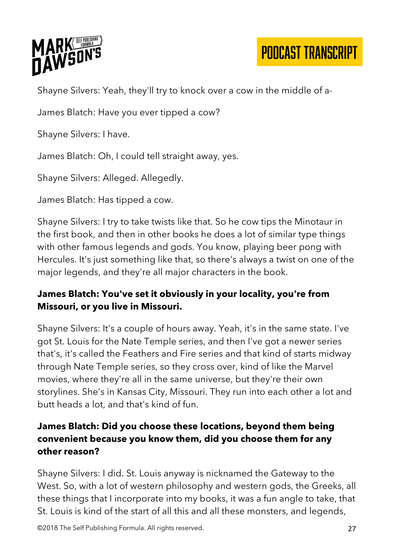

Shayne Silvers: Yeah, they'll try to knock over a cow in the middle of a-

James Blatch: Have you ever tipped a cow?

Shayne Silvers: I have.

James Blatch: Oh, I could tell straight away, yes.

Shayne Silvers: Alleged. Allegedly.

James Blatch: Has tipped a cow.

Shayne Silvers: I try to take twists like that. So he cow tips the Minotaur in the first book, and then in other books he does a lot of similar type things with other famous legends and gods. You know, playing beer pong with Hercules. It's just something like that, so there's always a twist on one of the major legends, and they're all major characters in the book.

## **James Blatch: You've set it obviously in your locality, you're from Missouri, or you live in Missouri.**

Shayne Silvers: It's a couple of hours away. Yeah, it's in the same state. I've got St. Louis for the Nate Temple series, and then I've got a newer series that's, it's called the Feathers and Fire series and that kind of starts midway through Nate Temple series, so they cross over, kind of like the Marvel movies, where they're all in the same universe, but they're their own storylines. She's in Kansas City, Missouri. They run into each other a lot and butt heads a lot, and that's kind of fun.

## **James Blatch: Did you choose these locations, beyond them being convenient because you know them, did you choose them for any other reason?**

Shayne Silvers: I did. St. Louis anyway is nicknamed the Gateway to the West. So, with a lot of western philosophy and western gods, the Greeks, all these things that I incorporate into my books, it was a fun angle to take, that St. Louis is kind of the start of all this and all these monsters, and legends,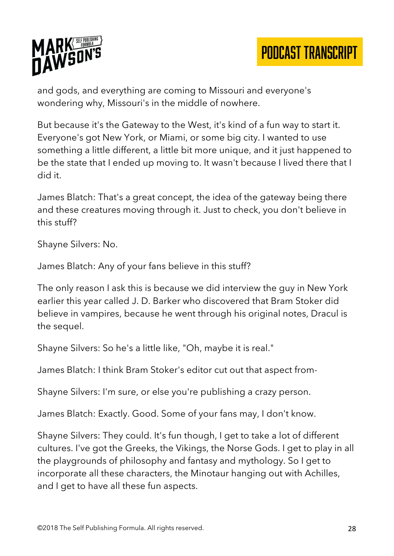

and gods, and everything are coming to Missouri and everyone's wondering why, Missouri's in the middle of nowhere.

But because it's the Gateway to the West, it's kind of a fun way to start it. Everyone's got New York, or Miami, or some big city. I wanted to use something a little different, a little bit more unique, and it just happened to be the state that I ended up moving to. It wasn't because I lived there that I did it.

James Blatch: That's a great concept, the idea of the gateway being there and these creatures moving through it. Just to check, you don't believe in this stuff?

Shayne Silvers: No.

James Blatch: Any of your fans believe in this stuff?

The only reason I ask this is because we did interview the guy in New York earlier this year called J. D. Barker who discovered that Bram Stoker did believe in vampires, because he went through his original notes, Dracul is the sequel.

Shayne Silvers: So he's a little like, "Oh, maybe it is real."

James Blatch: I think Bram Stoker's editor cut out that aspect from-

Shayne Silvers: I'm sure, or else you're publishing a crazy person.

James Blatch: Exactly. Good. Some of your fans may, I don't know.

Shayne Silvers: They could. It's fun though, I get to take a lot of different cultures. I've got the Greeks, the Vikings, the Norse Gods. I get to play in all the playgrounds of philosophy and fantasy and mythology. So I get to incorporate all these characters, the Minotaur hanging out with Achilles, and I get to have all these fun aspects.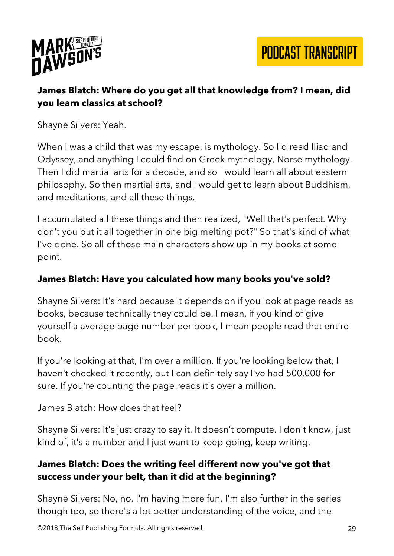



## **James Blatch: Where do you get all that knowledge from? I mean, did you learn classics at school?**

Shayne Silvers: Yeah.

When I was a child that was my escape, is mythology. So I'd read Iliad and Odyssey, and anything I could find on Greek mythology, Norse mythology. Then I did martial arts for a decade, and so I would learn all about eastern philosophy. So then martial arts, and I would get to learn about Buddhism, and meditations, and all these things.

I accumulated all these things and then realized, "Well that's perfect. Why don't you put it all together in one big melting pot?" So that's kind of what I've done. So all of those main characters show up in my books at some point.

#### **James Blatch: Have you calculated how many books you've sold?**

Shayne Silvers: It's hard because it depends on if you look at page reads as books, because technically they could be. I mean, if you kind of give yourself a average page number per book, I mean people read that entire book.

If you're looking at that, I'm over a million. If you're looking below that, I haven't checked it recently, but I can definitely say I've had 500,000 for sure. If you're counting the page reads it's over a million.

James Blatch: How does that feel?

Shayne Silvers: It's just crazy to say it. It doesn't compute. I don't know, just kind of, it's a number and I just want to keep going, keep writing.

#### **James Blatch: Does the writing feel different now you've got that success under your belt, than it did at the beginning?**

Shayne Silvers: No, no. I'm having more fun. I'm also further in the series though too, so there's a lot better understanding of the voice, and the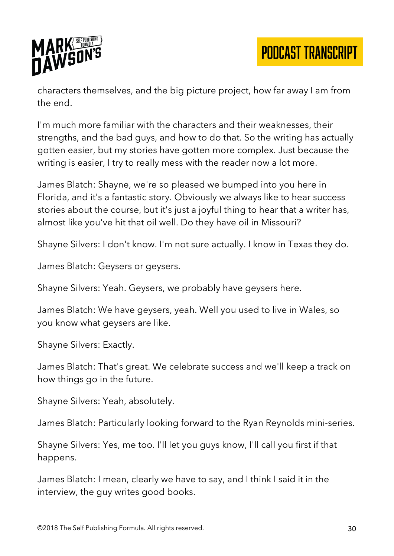

characters themselves, and the big picture project, how far away I am from the end.

I'm much more familiar with the characters and their weaknesses, their strengths, and the bad guys, and how to do that. So the writing has actually gotten easier, but my stories have gotten more complex. Just because the writing is easier, I try to really mess with the reader now a lot more.

James Blatch: Shayne, we're so pleased we bumped into you here in Florida, and it's a fantastic story. Obviously we always like to hear success stories about the course, but it's just a joyful thing to hear that a writer has, almost like you've hit that oil well. Do they have oil in Missouri?

Shayne Silvers: I don't know. I'm not sure actually. I know in Texas they do.

James Blatch: Geysers or geysers.

Shayne Silvers: Yeah. Geysers, we probably have geysers here.

James Blatch: We have geysers, yeah. Well you used to live in Wales, so you know what geysers are like.

Shayne Silvers: Exactly.

James Blatch: That's great. We celebrate success and we'll keep a track on how things go in the future.

Shayne Silvers: Yeah, absolutely.

James Blatch: Particularly looking forward to the Ryan Reynolds mini-series.

Shayne Silvers: Yes, me too. I'll let you guys know, I'll call you first if that happens.

James Blatch: I mean, clearly we have to say, and I think I said it in the interview, the guy writes good books.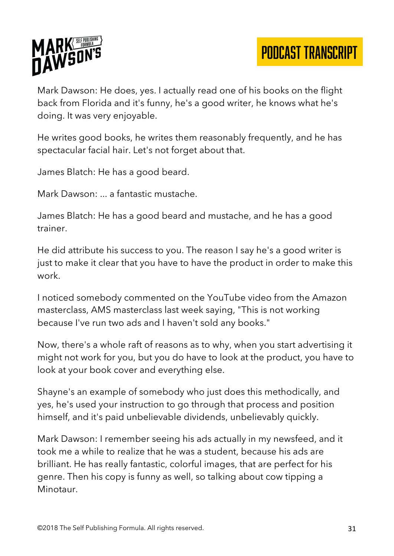

Mark Dawson: He does, yes. I actually read one of his books on the flight back from Florida and it's funny, he's a good writer, he knows what he's doing. It was very enjoyable.

He writes good books, he writes them reasonably frequently, and he has spectacular facial hair. Let's not forget about that.

James Blatch: He has a good beard.

Mark Dawson: ... a fantastic mustache.

James Blatch: He has a good beard and mustache, and he has a good trainer.

He did attribute his success to you. The reason I say he's a good writer is just to make it clear that you have to have the product in order to make this work.

I noticed somebody commented on the YouTube video from the Amazon masterclass, AMS masterclass last week saying, "This is not working because I've run two ads and I haven't sold any books."

Now, there's a whole raft of reasons as to why, when you start advertising it might not work for you, but you do have to look at the product, you have to look at your book cover and everything else.

Shayne's an example of somebody who just does this methodically, and yes, he's used your instruction to go through that process and position himself, and it's paid unbelievable dividends, unbelievably quickly.

Mark Dawson: I remember seeing his ads actually in my newsfeed, and it took me a while to realize that he was a student, because his ads are brilliant. He has really fantastic, colorful images, that are perfect for his genre. Then his copy is funny as well, so talking about cow tipping a Minotaur.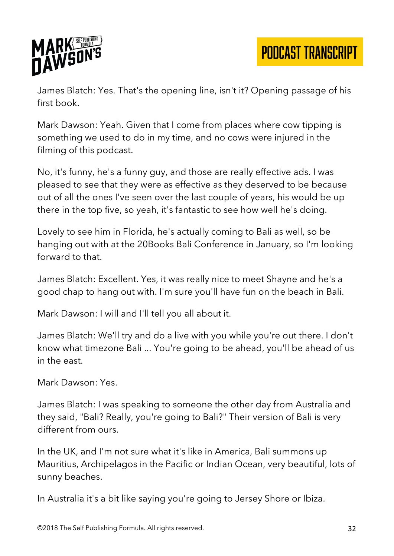

James Blatch: Yes. That's the opening line, isn't it? Opening passage of his first book.

Mark Dawson: Yeah. Given that I come from places where cow tipping is something we used to do in my time, and no cows were injured in the filming of this podcast.

No, it's funny, he's a funny guy, and those are really effective ads. I was pleased to see that they were as effective as they deserved to be because out of all the ones I've seen over the last couple of years, his would be up there in the top five, so yeah, it's fantastic to see how well he's doing.

Lovely to see him in Florida, he's actually coming to Bali as well, so be hanging out with at the 20Books Bali Conference in January, so I'm looking forward to that.

James Blatch: Excellent. Yes, it was really nice to meet Shayne and he's a good chap to hang out with. I'm sure you'll have fun on the beach in Bali.

Mark Dawson: I will and I'll tell you all about it.

James Blatch: We'll try and do a live with you while you're out there. I don't know what timezone Bali ... You're going to be ahead, you'll be ahead of us in the east.

Mark Dawson: Yes.

James Blatch: I was speaking to someone the other day from Australia and they said, "Bali? Really, you're going to Bali?" Their version of Bali is very different from ours.

In the UK, and I'm not sure what it's like in America, Bali summons up Mauritius, Archipelagos in the Pacific or Indian Ocean, very beautiful, lots of sunny beaches.

In Australia it's a bit like saying you're going to Jersey Shore or Ibiza.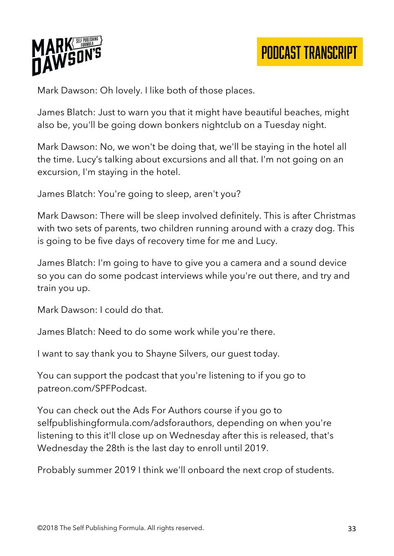

Mark Dawson: Oh lovely. I like both of those places.

James Blatch: Just to warn you that it might have beautiful beaches, might also be, you'll be going down bonkers nightclub on a Tuesday night.

Mark Dawson: No, we won't be doing that, we'll be staying in the hotel all the time. Lucy's talking about excursions and all that. I'm not going on an excursion, I'm staying in the hotel.

James Blatch: You're going to sleep, aren't you?

Mark Dawson: There will be sleep involved definitely. This is after Christmas with two sets of parents, two children running around with a crazy dog. This is going to be five days of recovery time for me and Lucy.

James Blatch: I'm going to have to give you a camera and a sound device so you can do some podcast interviews while you're out there, and try and train you up.

Mark Dawson: I could do that.

James Blatch: Need to do some work while you're there.

I want to say thank you to Shayne Silvers, our guest today.

You can support the podcast that you're listening to if you go to patreon.com/SPFPodcast.

You can check out the Ads For Authors course if you go to selfpublishingformula.com/adsforauthors, depending on when you're listening to this it'll close up on Wednesday after this is released, that's Wednesday the 28th is the last day to enroll until 2019.

Probably summer 2019 I think we'll onboard the next crop of students.